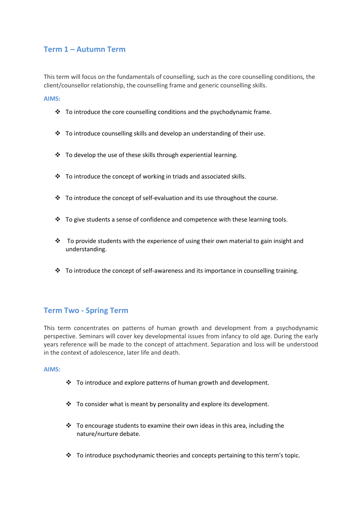# **Term 1 – Autumn Term**

This term will focus on the fundamentals of counselling, such as the core counselling conditions, the client/counsellor relationship, the counselling frame and generic counselling skills.

**AIMS:**

- $\cdot \cdot$  To introduce the core counselling conditions and the psychodynamic frame.
- $\cdot \cdot$  To introduce counselling skills and develop an understanding of their use.
- To develop the use of these skills through experiential learning.
- $\cdot$  To introduce the concept of working in triads and associated skills.
- $\div$  To introduce the concept of self-evaluation and its use throughout the course.
- $\cdot \cdot$  To give students a sense of confidence and competence with these learning tools.
- $\cdot \cdot$  To provide students with the experience of using their own material to gain insight and understanding.
- $\cdot \cdot$  To introduce the concept of self-awareness and its importance in counselling training.

### **Term Two - Spring Term**

This term concentrates on patterns of human growth and development from a psychodynamic perspective. Seminars will cover key developmental issues from infancy to old age. During the early years reference will be made to the concept of attachment. Separation and loss will be understood in the context of adolescence, later life and death.

### **AIMS:**

- $\div$  To introduce and explore patterns of human growth and development.
- $\cdot$  To consider what is meant by personality and explore its development.
- $\cdot$  To encourage students to examine their own ideas in this area, including the nature/nurture debate.
- $\div$  To introduce psychodynamic theories and concepts pertaining to this term's topic.